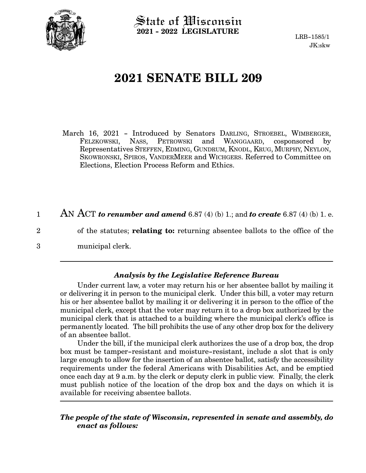

 $\operatorname{\mathsf{State}}$  of Wisconsin **2021 - 2022 LEGISLATURE**

LRB-1585/1 JK:skw

## **2021 SENATE BILL 209**

March 16, 2021 - Introduced by Senators DARLING, STROEBEL, WIMBERGER, FELZKOWSKI, NASS, PETROWSKI and WANGGAARD, cosponsored by Representatives STEFFEN, EDMING, GUNDRUM, KNODL, KRUG, MURPHY, NEYLON, SKOWRONSKI, SPIROS, VANDERMEER and WICHGERS. Referred to Committee on Elections, Election Process Reform and Ethics.

AN ACT *to renumber and amend* 6.87 (4) (b) 1.; and *to create* 6.87 (4) (b) 1. e. 1

of the statutes; **relating to:** returning absentee ballots to the office of the

municipal clerk.

2

3

## *Analysis by the Legislative Reference Bureau*

Under current law, a voter may return his or her absentee ballot by mailing it or delivering it in person to the municipal clerk. Under this bill, a voter may return his or her absentee ballot by mailing it or delivering it in person to the office of the municipal clerk, except that the voter may return it to a drop box authorized by the municipal clerk that is attached to a building where the municipal clerk's office is permanently located. The bill prohibits the use of any other drop box for the delivery of an absentee ballot.

Under the bill, if the municipal clerk authorizes the use of a drop box, the drop box must be tamper-resistant and moisture-resistant, include a slot that is only large enough to allow for the insertion of an absentee ballot, satisfy the accessibility requirements under the federal Americans with Disabilities Act, and be emptied once each day at 9 a.m. by the clerk or deputy clerk in public view. Finally, the clerk must publish notice of the location of the drop box and the days on which it is available for receiving absentee ballots.

*The people of the state of Wisconsin, represented in senate and assembly, do enact as follows:*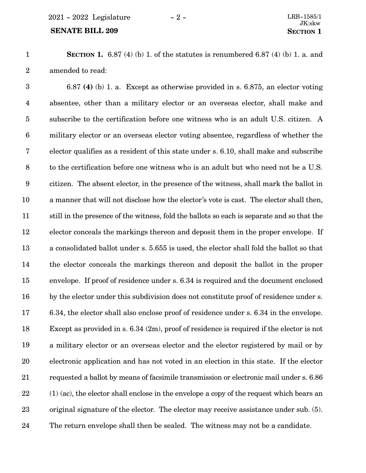## **SENATE BILL 209 SECTION** 1

**SECTION 1.** 6.87 (4) (b) 1. of the statutes is renumbered 6.87 (4) (b) 1. a. and amended to read: 1 2

6.87 **(4)** (b) 1. a. Except as otherwise provided in s. 6.875, an elector voting absentee, other than a military elector or an overseas elector, shall make and subscribe to the certification before one witness who is an adult U.S. citizen. A military elector or an overseas elector voting absentee, regardless of whether the elector qualifies as a resident of this state under s. 6.10, shall make and subscribe to the certification before one witness who is an adult but who need not be a U.S. citizen. The absent elector, in the presence of the witness, shall mark the ballot in a manner that will not disclose how the elector's vote is cast. The elector shall then, still in the presence of the witness, fold the ballots so each is separate and so that the elector conceals the markings thereon and deposit them in the proper envelope. If a consolidated ballot under s. 5.655 is used, the elector shall fold the ballot so that the elector conceals the markings thereon and deposit the ballot in the proper envelope. If proof of residence under s. 6.34 is required and the document enclosed by the elector under this subdivision does not constitute proof of residence under s. 6.34, the elector shall also enclose proof of residence under s. 6.34 in the envelope. Except as provided in s. 6.34 (2m), proof of residence is required if the elector is not a military elector or an overseas elector and the elector registered by mail or by electronic application and has not voted in an election in this state. If the elector requested a ballot by means of facsimile transmission or electronic mail under s. 6.86 (1) (ac), the elector shall enclose in the envelope a copy of the request which bears an original signature of the elector. The elector may receive assistance under sub. (5). The return envelope shall then be sealed. The witness may not be a candidate. 3 4 5 6 7 8 9 10 11 12 13 14 15 16 17 18 19 20 21 22 23 24